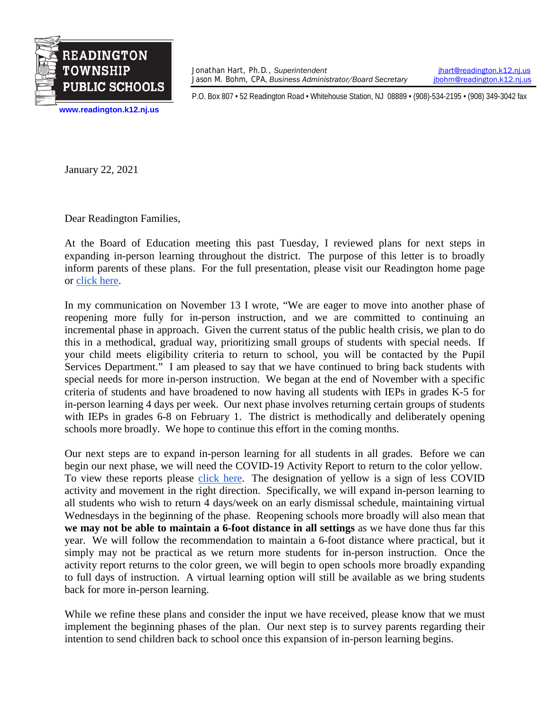

Jonathan Hart, Ph.D., *Superintendent [jhart@readington.k12.nj.us](mailto:jhart@readington.k12.nj.us)*<br>Jason M. Bohm, CPA, Business Administrator/Board Secretary *jhohm@readington.k12.nj.us* Jason M. Bohm, CPA, *Business Administrator/Board Secretary* 

P.O. Box 807 • 52 Readington Road • Whitehouse Station, NJ 08889 • (908)-534-2195 • (908) 349-3042 fax

**[www.readington.k12.nj.us](http://www.readington.k12.nj.us/)**

January 22, 2021

Dear Readington Families,

At the Board of Education meeting this past Tuesday, I reviewed plans for next steps in expanding in-person learning throughout the district. The purpose of this letter is to broadly inform parents of these plans. For the full presentation, please visit our Readington home page or [click here.](https://www.readington.k12.nj.us/cms/lib/NJ01000244/Centricity/Domain/1/Superintendents%20Report%20-%20COVID19%20Crisis%20and%20Next%20Steps%20Presentation.pdf)

In my communication on November 13 I wrote, "We are eager to move into another phase of reopening more fully for in-person instruction, and we are committed to continuing an incremental phase in approach. Given the current status of the public health crisis, we plan to do this in a methodical, gradual way, prioritizing small groups of students with special needs. If your child meets eligibility criteria to return to school, you will be contacted by the Pupil Services Department." I am pleased to say that we have continued to bring back students with special needs for more in-person instruction. We began at the end of November with a specific criteria of students and have broadened to now having all students with IEPs in grades K-5 for in-person learning 4 days per week. Our next phase involves returning certain groups of students with IEPs in grades 6-8 on February 1. The district is methodically and deliberately opening schools more broadly. We hope to continue this effort in the coming months.

Our next steps are to expand in-person learning for all students in all grades. Before we can begin our next phase, we will need the COVID-19 Activity Report to return to the color yellow. To view these reports please [click here.](https://www.nj.gov/health/cd/statistics/covid/) The designation of yellow is a sign of less COVID activity and movement in the right direction. Specifically, we will expand in-person learning to all students who wish to return 4 days/week on an early dismissal schedule, maintaining virtual Wednesdays in the beginning of the phase. Reopening schools more broadly will also mean that **we may not be able to maintain a 6-foot distance in all settings** as we have done thus far this year. We will follow the recommendation to maintain a 6-foot distance where practical, but it simply may not be practical as we return more students for in-person instruction. Once the activity report returns to the color green, we will begin to open schools more broadly expanding to full days of instruction. A virtual learning option will still be available as we bring students back for more in-person learning.

While we refine these plans and consider the input we have received, please know that we must implement the beginning phases of the plan. Our next step is to survey parents regarding their intention to send children back to school once this expansion of in-person learning begins.